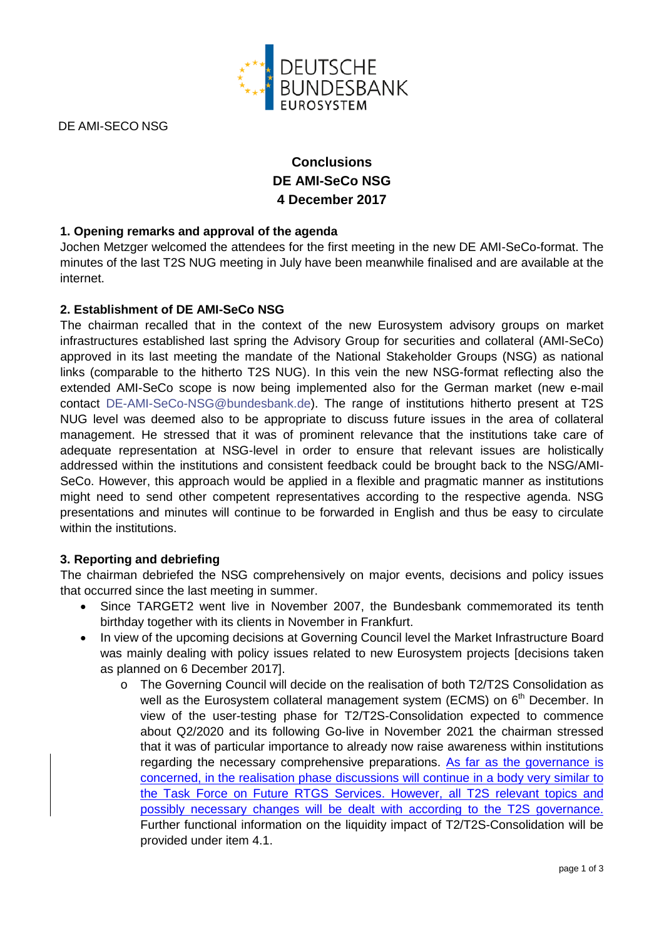

DE AMI-SECO NSG

# **Conclusions DE AMI-SeCo NSG 4 December 2017**

# **1. Opening remarks and approval of the agenda**

Jochen Metzger welcomed the attendees for the first meeting in the new DE AMI-SeCo-format. The minutes of the last T2S NUG meeting in July have been meanwhile finalised and are available at the internet.

#### **2. Establishment of DE AMI-SeCo NSG**

The chairman recalled that in the context of the new Eurosystem advisory groups on market infrastructures established last spring the Advisory Group for securities and collateral (AMI-SeCo) approved in its last meeting the mandate of the National Stakeholder Groups (NSG) as national links (comparable to the hitherto T2S NUG). In this vein the new NSG-format reflecting also the extended AMI-SeCo scope is now being implemented also for the German market (new e-mail contact [DE-AMI-SeCo-NSG@bundesbank.de\)](mailto:DE-AMI-SeCo-NSG@bundesbank.de). The range of institutions hitherto present at T2S NUG level was deemed also to be appropriate to discuss future issues in the area of collateral management. He stressed that it was of prominent relevance that the institutions take care of adequate representation at NSG-level in order to ensure that relevant issues are holistically addressed within the institutions and consistent feedback could be brought back to the NSG/AMI-SeCo. However, this approach would be applied in a flexible and pragmatic manner as institutions might need to send other competent representatives according to the respective agenda. NSG presentations and minutes will continue to be forwarded in English and thus be easy to circulate within the institutions.

#### **3. Reporting and debriefing**

The chairman debriefed the NSG comprehensively on major events, decisions and policy issues that occurred since the last meeting in summer.

- Since TARGET2 went live in November 2007, the Bundesbank commemorated its tenth birthday together with its clients in November in Frankfurt.
- In view of the upcoming decisions at Governing Council level the Market Infrastructure Board was mainly dealing with policy issues related to new Eurosystem projects Idecisions taken as planned on 6 December 2017].
	- o The Governing Council will decide on the realisation of both T2/T2S Consolidation as well as the Eurosystem collateral management system (ECMS) on 6<sup>th</sup> December. In view of the user-testing phase for T2/T2S-Consolidation expected to commence about Q2/2020 and its following Go-live in November 2021 the chairman stressed that it was of particular importance to already now raise awareness within institutions regarding the necessary comprehensive preparations. As far as the governance is concerned, in the realisation phase discussions will continue in a body very similar to the Task Force on Future RTGS Services. However, all T2S relevant topics and possibly necessary changes will be dealt with according to the T2S governance. Further functional information on the liquidity impact of T2/T2S-Consolidation will be provided under item 4.1.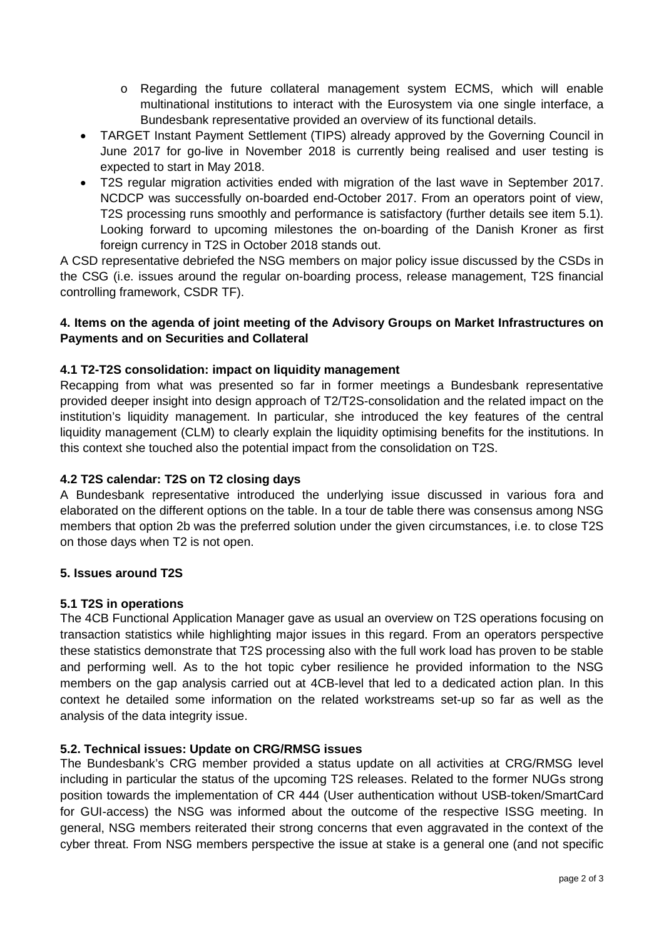- o Regarding the future collateral management system ECMS, which will enable multinational institutions to interact with the Eurosystem via one single interface, a Bundesbank representative provided an overview of its functional details.
- TARGET Instant Payment Settlement (TIPS) already approved by the Governing Council in June 2017 for go-live in November 2018 is currently being realised and user testing is expected to start in May 2018.
- T2S regular migration activities ended with migration of the last wave in September 2017. NCDCP was successfully on-boarded end-October 2017. From an operators point of view, T2S processing runs smoothly and performance is satisfactory (further details see item 5.1). Looking forward to upcoming milestones the on-boarding of the Danish Kroner as first foreign currency in T2S in October 2018 stands out.

A CSD representative debriefed the NSG members on major policy issue discussed by the CSDs in the CSG (i.e. issues around the regular on-boarding process, release management, T2S financial controlling framework, CSDR TF).

# **4. Items on the agenda of joint meeting of the Advisory Groups on Market Infrastructures on Payments and on Securities and Collateral**

## **4.1 T2-T2S consolidation: impact on liquidity management**

Recapping from what was presented so far in former meetings a Bundesbank representative provided deeper insight into design approach of T2/T2S-consolidation and the related impact on the institution's liquidity management. In particular, she introduced the key features of the central liquidity management (CLM) to clearly explain the liquidity optimising benefits for the institutions. In this context she touched also the potential impact from the consolidation on T2S.

#### **4.2 T2S calendar: T2S on T2 closing days**

A Bundesbank representative introduced the underlying issue discussed in various fora and elaborated on the different options on the table. In a tour de table there was consensus among NSG members that option 2b was the preferred solution under the given circumstances, i.e. to close T2S on those days when T2 is not open.

#### **5. Issues around T2S**

#### **5.1 T2S in operations**

The 4CB Functional Application Manager gave as usual an overview on T2S operations focusing on transaction statistics while highlighting major issues in this regard. From an operators perspective these statistics demonstrate that T2S processing also with the full work load has proven to be stable and performing well. As to the hot topic cyber resilience he provided information to the NSG members on the gap analysis carried out at 4CB-level that led to a dedicated action plan. In this context he detailed some information on the related workstreams set-up so far as well as the analysis of the data integrity issue.

#### **5.2. Technical issues: Update on CRG/RMSG issues**

The Bundesbank's CRG member provided a status update on all activities at CRG/RMSG level including in particular the status of the upcoming T2S releases. Related to the former NUGs strong position towards the implementation of CR 444 (User authentication without USB-token/SmartCard for GUI-access) the NSG was informed about the outcome of the respective ISSG meeting. In general, NSG members reiterated their strong concerns that even aggravated in the context of the cyber threat. From NSG members perspective the issue at stake is a general one (and not specific